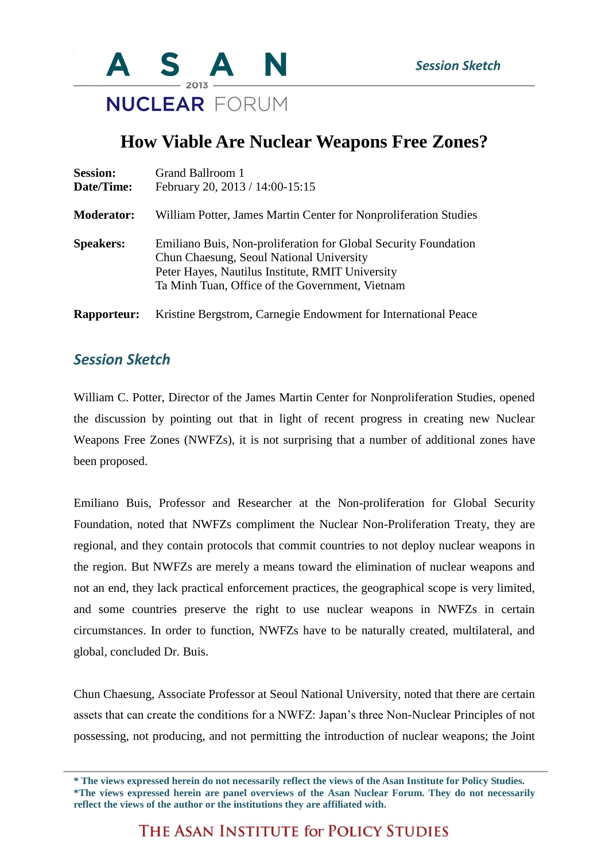

## **How Viable Are Nuclear Weapons Free Zones?**

| <b>Session:</b><br>Date/Time: | Grand Ballroom 1<br>February 20, 2013 / 14:00-15:15                                                                                                                                                                |
|-------------------------------|--------------------------------------------------------------------------------------------------------------------------------------------------------------------------------------------------------------------|
| <b>Moderator:</b>             | William Potter, James Martin Center for Nonproliferation Studies                                                                                                                                                   |
| <b>Speakers:</b>              | Emiliano Buis, Non-proliferation for Global Security Foundation<br>Chun Chaesung, Seoul National University<br>Peter Hayes, Nautilus Institute, RMIT University<br>Ta Minh Tuan, Office of the Government, Vietnam |
| <b>Rapporteur:</b>            | Kristine Bergstrom, Carnegie Endowment for International Peace                                                                                                                                                     |

## *Session Sketch*

William C. Potter, Director of the James Martin Center for Nonproliferation Studies, opened the discussion by pointing out that in light of recent progress in creating new Nuclear Weapons Free Zones (NWFZs), it is not surprising that a number of additional zones have been proposed.

Emiliano Buis, Professor and Researcher at the Non-proliferation for Global Security Foundation, noted that NWFZs compliment the Nuclear Non-Proliferation Treaty, they are regional, and they contain protocols that commit countries to not deploy nuclear weapons in the region. But NWFZs are merely a means toward the elimination of nuclear weapons and not an end, they lack practical enforcement practices, the geographical scope is very limited, and some countries preserve the right to use nuclear weapons in NWFZs in certain circumstances. In order to function, NWFZs have to be naturally created, multilateral, and global, concluded Dr. Buis.

Chun Chaesung, Associate Professor at Seoul National University, noted that there are certain assets that can create the conditions for a NWFZ: Japan's three Non-Nuclear Principles of not possessing, not producing, and not permitting the introduction of nuclear weapons; the Joint

THE ASAN INSTITUTE for POLICY STUDIES

**<sup>\*</sup> The views expressed herein do not necessarily reflect the views of the Asan Institute for Policy Studies. \*The views expressed herein are panel overviews of the Asan Nuclear Forum. They do not necessarily reflect the views of the author or the institutions they are affiliated with.**